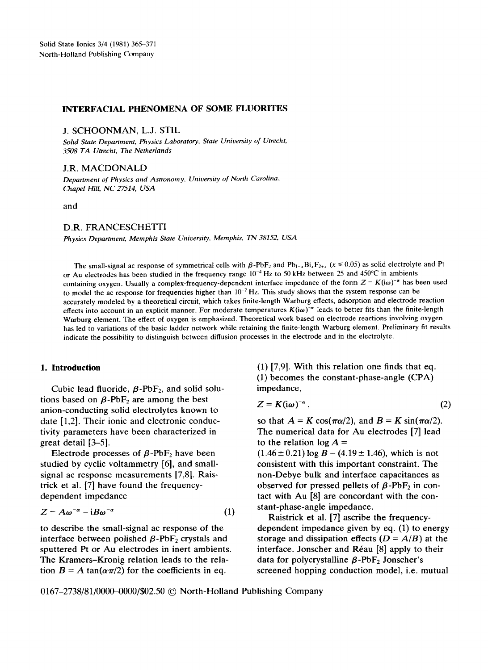# INTERFACIAL PHENOMENA OF SOME FLUORITES

J. SCHOONMAN, L.J. STIL

*Solid State Department, Physics Laboratory, State University of Utrecht, 3508 TA Utrecht, The Netherlands* 

**J.R.** MACDONALD

*Department of Physics and Astronomy, University of North Carolina, Chapel Hill, NC 27514, USA* 

and

### D.R. FRANCESCHETFI

*Physics Department, Memphis State University, Memphis, TN 38152, USA* 

The small-signal ac response of symmetrical cells with  $\beta$ -PbF<sub>2</sub> and Pb<sub>1-x</sub>Bi<sub>x</sub>F<sub>2+x</sub> (x ≤ 0.05) as solid electrolyte and Pt or Au electrodes has been studied in the frequency range  $10^{-4}$  Hz to 50 kHz between 25 and 450°C in ambients containing oxygen. Usually a complex-frequency-dependent interface impedance of the form  $Z = K(i\omega)^{-\alpha}$  has been used to model the ac response for frequencies higher than  $10^{-2}$  Hz. This study shows that the system response can be accurately modeled by a theoretical circuit, which takes finite-length Warburg effects, adsorption and electrode reaction effects into account in an explicit manner. For moderate temperatures  $K(i\omega)^{-\alpha}$  leads to better fits than the finite-length Warburg element. The effect of oxygen is emphasized. Theoretical work based on electrode reactions involving oxygen has led to variations of the basic ladder network while retaining the finite-length Warburg element. Preliminary fit results indicate the possibility to distinguish between diffusion processes in the electrode and in the electrolyte.

## **1. Introduction**

Cubic lead fluoride,  $\beta$ -PbF<sub>2</sub>, and solid solutions based on  $\beta$ -PbF<sub>2</sub> are among the best anion-conducting solid electrolytes known to date [1,2]. Their ionic and electronic conductivity parameters have been characterized in great detail [3-5].

Electrode processes of  $\beta$ -PbF<sub>2</sub> have been studied by cyclic voltammetry [6], and smallsignal ac response measurements [7,8]. Raistrick et al. [7] have found the frequencydependent impedance

$$
Z = A\omega^{-\alpha} - iB\omega^{-\alpha} \tag{1}
$$

to describe the small-signal ac response of the interface between polished  $\beta$ -PbF<sub>2</sub> crystals and sputtered Pt or Au electrodes in inert ambients. The Kramers-Kronig relation leads to the relation  $B = A \tan(\alpha \pi/2)$  for the coefficients in eq.

(1) [7,9]. With this relation one finds that eq. (1) becomes the constant-phase-angle (CPA) impedance,

$$
Z = K(i\omega)^{-\alpha},\tag{2}
$$

so that  $A = K \cos(\pi \alpha/2)$ , and  $B = K \sin(\pi \alpha/2)$ . The numerical data for Au electrodes [7] lead to the relation  $\log A =$ 

 $(1.46 \pm 0.21) \log B - (4.19 \pm 1.46)$ , which is not consistent with this important constraint. The non-Debye bulk and interface capacitances as observed for pressed pellets of  $\beta$ -PbF<sub>2</sub> in contact with Au [8] are concordant with the constant-phase-angle impedance.

Raistrick et al. [7] ascribe the frequencydependent impedance given by eq. (1) to energy storage and dissipation effects  $(D = A/B)$  at the interface. Jonscher and R6au [8] apply to their data for polycrystalline  $\beta$ -PbF<sub>2</sub> Jonscher's screened hopping conduction model, i.e. mutual

0167-2738/81/0000-0000/\$02.50 © North-Holland Publishing Company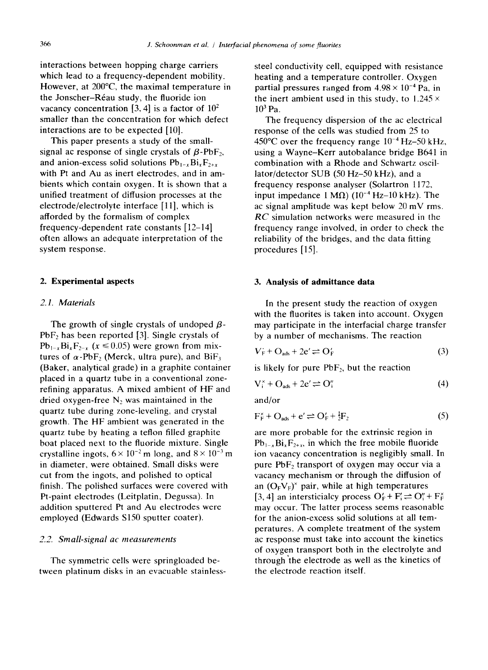interactions between hopping charge carriers which lead to a frequency-dependent mobility. However, at 200°C, the maximal temperature in the Jonscher-Réau study, the fluoride ion vacancy concentration [3, 4] is a factor of  $10<sup>2</sup>$ smaller than the concentration for which defect interactions are to be expected [10].

This paper presents a study of the smallsignal ac response of single crystals of  $\beta$ -PbF<sub>2</sub>, and anion-excess solid solutions  $Pb_{1-x}Bi_xF_{2+x}$ with Pt and Au as inert electrodes, and in ambients which contain oxygen. It is shown that a unified treatment of diffusion processes at the electrode/electrolyte interface [1 l], which is afforded by the formalism of complex frequency-dependent rate constants [12-14] often allows an adequate interpretation of the system response.

## **2. Experimental aspects**

# *2.1. Materials*

The growth of single crystals of undoped  $\beta$ - $PbF_2$  has been reported [3]. Single crystals of  $Pb_{1-x}Bi_xF_{2-x}$  ( $x \le 0.05$ ) were grown from mixtures of  $\alpha$ -PbF<sub>2</sub> (Merck, ultra pure), and BiF<sub>3</sub> (Baker, analytical grade) in a graphite container placed in a quartz tube in a conventional zonerefining apparatus. A mixed ambient of HF and dried oxygen-free  $N_2$  was maintained in the quartz tube during zone-leveling, and crystal growth. The HF ambient was generated in the quartz tube by heating a teflon filled graphite boat placed next to the fluoride mixture. Single crystalline ingots,  $6 \times 10^{-2}$  m long, and  $8 \times 10^{-3}$  m in diameter, were obtained. Small disks were cut from the ingots, and polished to optical finish. The polished surfaces were covered with Pt-paint electrodes (Leitplatin, Degussa). In addition sputtered Pt and Au electrodes were employed (Edwards S150 sputter coater).

### *2.2. Small-signal ac measurements*

The symmetric cells were springloaded between platinum disks in an evacuable stainlesssteel conductivity ceil, equipped with resistance heating and a temperature controller. Oxygen partial pressures ranged from  $4.98 \times 10^{-4}$  Pa, in the inert ambient used in this study, to *1.245 x*   $10^3$  Pa.

The frequency dispersion of the ac electrical response of the cells was studied from 25 to 450°C over the frequency range  $10^{-4}$  Hz–50 kHz, using a Wayne-Kerr autobalance bridge B641 in combination with a Rhode and Schwartz oscillator/detector SUB (50 Hz-50 kHz), and a frequency response analyser (Solartron 1172, input impedance 1 M $\Omega$ ) (10<sup>-4</sup> Hz-10 kHz). The ac signal amplitude was kept below 20 mV rms. *RC* simulation networks were measured in the frequency range involved, in order to check the reliability of the bridges, and the data fitting procedures [15].

# **3. Analysis of admittance data**

In the present study the reaction of oxygen with the fluorites is taken into account. Oxygen may participate in the interfacial charge transfer by a number of mechanisms. The reaction

$$
V_{\rm F} + \mathcal{O}_{\rm ads} + 2\mathbf{e}' \rightleftharpoons \mathcal{O}_{\rm F}' \tag{3}
$$

is likely for pure  $PbF_2$ , but the reaction

$$
V_i^{\times} + O_{ads} + 2e' \rightleftharpoons O_i'' \tag{4}
$$

and/or

$$
F_F^{\times} + O_{ads} + e' \rightleftharpoons O_F' + \frac{1}{2}F_2
$$
 (5)

are more probable for the extrinsic region in  $Pb_{1-x}Bi_xF_{2+x}$ , in which the free mobile fluoride ion vacancy concentration is negligibly small. In pure  $PbF_2$  transport of oxygen may occur via a vacancy mechanism or through the diffusion of an  $(O_FV_F)^*$  pair, while at high temperatures [3, 4] an intersticialcy process  $O'_F + F'_i \rightleftharpoons O''_i + F'_F$ may occur. The latter process seems reasonable for the anion-excess solid solutions at all temperatures. A complete treatment of the system ac response must take into account the kinetics of oxygen transport both in the electrolyte and through the electrode as well as the kinetics of the electrode reaction itself.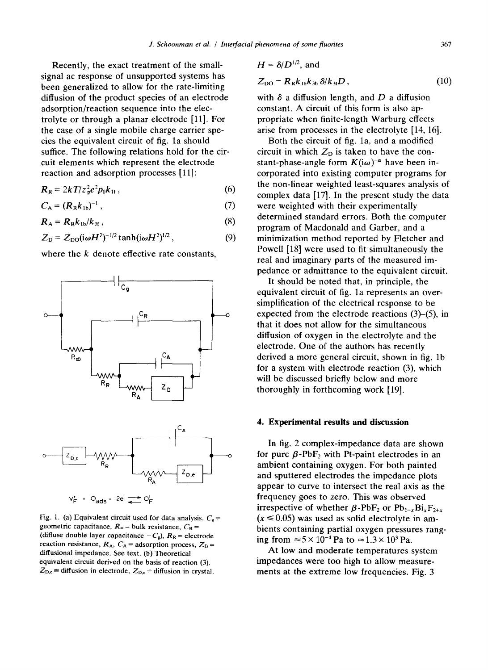Recently, the exact treatment of the smallsignal ac response of unsupported systems has been generalized to allow for the rate-limiting diffusion of the product species of an electrode adsorption/reaction sequence into the electrolyte or through a planar electrode [11]. For the case of a single mobile charge carrier species the equivalent circuit of fig. la should suffice. The following relations hold for the circuit elements which represent the electrode reaction and adsorption processes [11]:

$$
R_{\rm R} = 2kT/z_{\rm p}^2e^2p_0k_{\rm H} \,, \tag{6}
$$

$$
C_{\mathsf{A}} = (R_{\mathsf{R}}k_{\mathsf{1b}})^{-1},\tag{7}
$$

$$
R_A = R_R k_{1b}/k_{3f}, \qquad (8)
$$

$$
Z_{\rm D} = Z_{\rm DO}(i\omega H^2)^{-1/2} \tanh(i\omega H^2)^{1/2} \,, \tag{9}
$$

where the  $k$  denote effective rate constants,



Fig. 1. (a) Equivalent circuit used for data analysis.  $C_g$  = geometric capacitance,  $R_{\infty}$  = bulk resistance,  $C_{\text{R}}$  = (diffuse double layer capacitance  $-C_g$ ),  $R_R$  = electrode reaction resistance,  $R_A$ ,  $C_A$  = adsorption process,  $Z_D$  = diffusional impedance. See text. (b) Theoretical equivalent circuit derived on the basis of reaction (3).  $Z_{\text{D,e}}$  = diffusion in electrode,  $Z_{\text{D,e}}$  = diffusion in crystal.

$$
H = \delta/D^{1/2}, \text{ and}
$$
  
\n
$$
Z_{\text{DO}} = R_{\text{R}}k_{1\text{b}}k_{3\text{b}} \delta/k_{3\text{f}}D, \qquad (10)
$$

with  $\delta$  a diffusion length, and D a diffusion constant. A circuit of this form is also appropriate when finite-length Warburg effects arise from processes in the electrolyte [14, 16].

Both the circuit of fig. la, and a modified circuit in which  $Z_D$  is taken to have the constant-phase-angle form  $K(i\omega)^{-\alpha}$  have been incorporated into existing computer programs for the non-linear weighted least-squares analysis of complex data [17]. In the present study the data were weighted with their experimentally determined standard errors. Both the computer program of Macdonald and Garber, and a minimization method reported by Fletcher and Powell [18] were used to fit simultaneously the real and imaginary parts of the measured impedance or admittance to the equivalent circuit.

It should be noted that, in principle, the equivalent circuit of fig. la represents an oversimplification of the electrical response to be expected from the electrode reactions (3)-(5), in that it does not allow for the simultaneous diffusion of oxygen in the electrolyte and the electrode. One of the authors has recently derived a more general circuit, shown in fig. lb for a system with electrode reaction (3), which will be discussed briefly below and more thoroughly in forthcoming work [19].

#### **4. Experimental results and discussion**

In fig. 2 complex-impedance data are shown for pure  $\beta$ -PbF<sub>2</sub> with Pt-paint electrodes in an ambient containing oxygen. For both painted and sputtered electrodes the impedance plots appear to curve to intersect the real axis as the frequency goes to zero. This was observed irrespective of whether  $\beta$ -PbF<sub>2</sub> or Pb<sub>1-x</sub>Bi<sub>x</sub>F<sub>2+x</sub>  $(x \le 0.05)$  was used as solid electrolyte in ambients containing partial oxygen pressures ranging from  $\approx 5 \times 10^{-4}$  Pa to  $\approx 1.3 \times 10^{3}$  Pa.

At low and moderate temperatures system impedances were too high to allow measurements at the extreme low frequencies. Fig. 3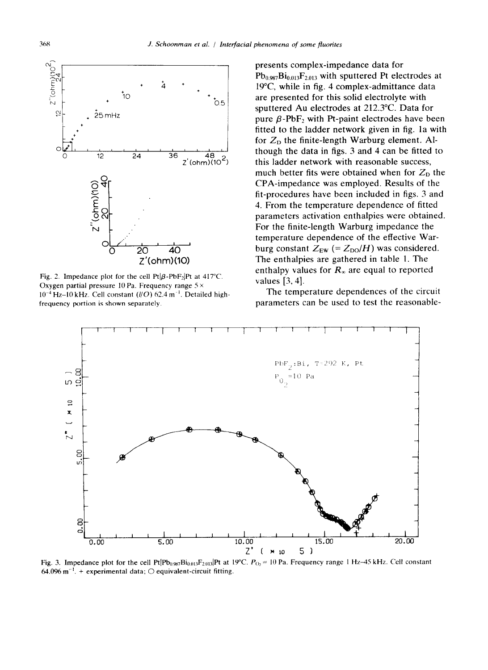

Fig. 2. Impedance plot for the cell  $Pt|\beta-PbF_2|Pt$  at 417°C. Oxygen partial pressure 10 Pa. Frequency range  $5 \times$  $10^{-4}$  Hz-10 kHz. Cell constant ( $l/O$ ) 62.4 m<sup>-1</sup>. Detailed highfrequency portion is shown separately.

presents complex-impedance data for  $Pb_{0.987}Bi_{0.013}F_{2.013}$  with sputtered Pt electrodes at 19°C, while in fig. 4 complex-admittance data are presented for this solid electrolyte with sputtered Au electrodes at 212.3°C. Data for pure  $\beta$ -PbF<sub>2</sub> with Pt-paint electrodes have been fitted to the ladder network given in fig. la with for  $Z<sub>D</sub>$  the finite-length Warburg element. Although the data in figs. 3 and 4 can be fitted to this ladder network with reasonable success, much better fits were obtained when for  $Z_{\text{D}}$  the CPA-impedance was employed. Results of the fit-procedures have been included in figs. 3 and 4. From the temperature dependence of fitted parameters activation enthalpies were obtained. For the finite-length Warburg impedance the temperature dependence of the effective Warburg constant  $Z_{EW}$  (=  $Z_{DO}/H$ ) was considered. The enthalpies are gathered in table 1. The enthalpy values for  $R_{\infty}$  are equal to reported values [3, 4].

The temperature dependences of the circuit parameters can be used to test the reasonable-



Fig. 3. Impedance plot for the cell Pt $[Ph_{0.987}Bi_{0.013}F_{2.013}]$ Pt at 19°C.  $P_{O_2} = 10$  Pa. Frequency range 1 Hz-45 kHz. Cell constant 64.096 m<sup>-1</sup>. + experimental data;  $\bigcirc$  equivalent-circuit fitting.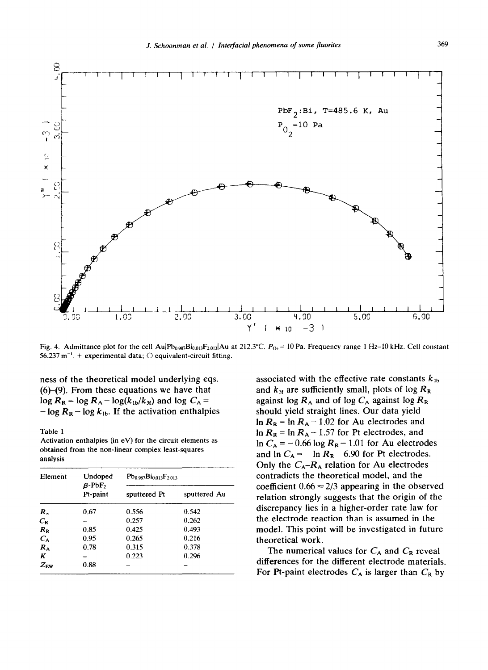

Fig. 4. Admittance plot for the cell Au $|Pb_{0.987}Bi_{0.013}F_{2.013}|$ Au at 212.3°C.  $P_{O_2} = 10$  Pa. Frequency range 1 Hz-10 kHz. Cell constant 56.237 m<sup>-1</sup>. + experimental data;  $\bigcirc$  equivalent-circuit fitting.

ness of the theoretical model underlying eqs. (6)-(9). From these equations we have that  $\log R_R = \log R_A - \log(k_{1b}/k_{3f})$  and  $\log C_A =$  $-\log R_R - \log k_{1b}$ . If the activation enthalpies

Table 1

Activation enthalpies (in eV) for the circuit elements as obtained from the non-linear complex least-squares analysis

| Element         | Undoped<br>$\beta$ -PbF <sub>2</sub><br>Pt-paint | $Pb_{0.987}Bi_{0.013}F_{2.013}$ |              |
|-----------------|--------------------------------------------------|---------------------------------|--------------|
|                 |                                                  | sputtered Pt                    | sputtered Au |
| $R_{\infty}$    | 0.67                                             | 0.556                           | 0.542        |
| $C_{\rm R}$     |                                                  | 0.257                           | 0.262        |
| $R_{R}$         | 0.85                                             | 0.425                           | 0.493        |
| $C_{\rm A}$     | 0.95                                             | 0.265                           | 0.216        |
| $R_{\rm A}$     | 0.78                                             | 0.315                           | 0.378        |
| K               |                                                  | 0.223                           | 0.296        |
| $Z_{\text{EW}}$ | 0.88                                             |                                 |              |

associated with the effective rate constants  $k_{1b}$ and  $k_{3f}$  are sufficiently small, plots of log  $R_R$ against log  $R_A$  and of log  $C_A$  against log  $R_R$ should yield straight lines. Our data yield  $\ln R_R = \ln R_A - 1.02$  for Au electrodes and  $\ln R_R = \ln R_A - 1.57$  for Pt electrodes, and In  $C_A = -0.66 \log R_R - 1.01$  for Au electrodes and  $\ln C_A = -\ln R_R - 6.90$  for Pt electrodes. Only the  $C_A-R_A$  relation for Au electrodes contradicts the theoretical model, and the coefficient  $0.66 \approx 2/3$  appearing in the observed relation strongly suggests that the origin of the discrepancy lies in a higher-order rate law for the electrode reaction than is assumed in the model. This point will be investigated in future theoretical work.

The numerical values for  $C_A$  and  $C_R$  reveal differences for the different electrode materials. For Pt-paint electrodes  $C_A$  is larger than  $C_R$  by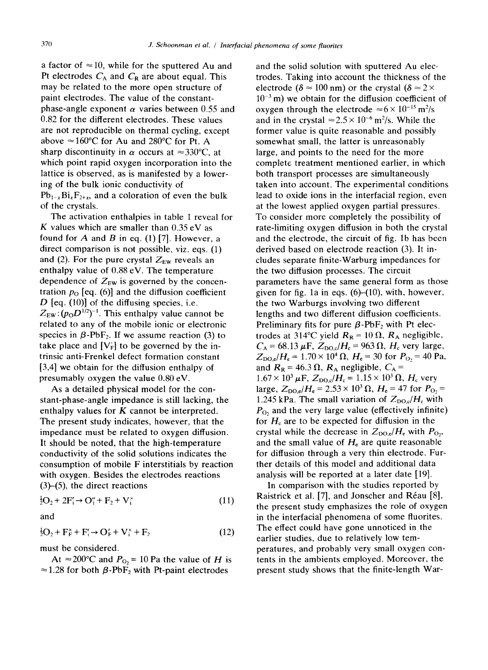a factor of  $\approx 10$ , while for the sputtered Au and Pt electrodes  $C_A$  and  $C_R$  are about equal. This may be related to the more open structure of paint electrodes. The value of the constantphase-angle exponent  $\alpha$  varies between 0.55 and 0.82 for the different electrodes, These values are not reproducible on thermal cycling, except above  $\approx 160^{\circ}$ C for Au and 280°C for Pt. A sharp discontinuity in  $\alpha$  occurs at  $\approx 330^{\circ}$ C, at which point rapid oxygen incorporation into the lattice is observed, as is manifested by a lowering of the bulk ionic conductivity of  $Pb_{1-x}Bi_xF_{2+x}$ , and a coloration of even the bulk of the crystals.

The activation enthalpies in table 1 reveal for K values which are smaller than  $0.35 \text{ eV}$  as found for A and B in eq. (1) [7]. However, a direct comparison is not possible, viz. eqs. (1) and (2). For the pure crystal  $Z_{EW}$  reveals an enthalpy value of 0.88 eV. The temperature dependence of  $Z_{EW}$  is governed by the concentration  $p_0$  [eq. (6)] and the diffusion coefficient  $D$  [eq. (10)] of the diffusing species, i.e.  $Z_{EW}$ :  $(p_0D^{1/2})^{-1}$ . This enthalpy value cannot be related to any of the mobile ionic or electronic species in  $\beta$ -PbF<sub>2</sub>. If we assume reaction (3) to take place and  $[V_F]$  to be governed by the intrinsic anti-Frenkel defect formation constant [3,4] we obtain for the diffusion enthalpy of presumably oxygen the value 0.80 eV.

As a detailed physical model for the constant-phase-angle impedance is still lacking, the enthalpy values for  $K$  cannot be interpreted. The present study indicates, however, that the impedance must be related to oxygen diffusion. It should be noted, that the high-temperature conductivity of the solid solutions indicates the consumption of mobile F interstitials by reaction with oxygen. Besides the electrodes reactions (3)-(5), the direct reactions

$$
{}_{2}^{1}O_{2} + 2F'_{i} \rightarrow O''_{i} + F_{2} + V'_{i}
$$
 (11)

and

$$
{}_{2}^{1}O_{2} + F_{F}^{\times} + F_{i}^{\times} \rightarrow O_{F}^{\times} + V_{i}^{\times} + F_{2}
$$
 (12)

must be considered.

At  $\approx$  200°C and  $P_{\text{O}_2}$  = 10 Pa the value of H is  $\approx$  1.28 for both  $\beta$ -PbF<sub>2</sub> with Pt-paint electrodes

and the solid solution with sputtered Au electrodes. Taking into account the thickness of the electrode ( $\delta \approx 100$  nm) or the crystal ( $\delta \approx 2 \times$  $10^{-3}$  m) we obtain for the diffusion coefficient of oxygen through the electrode  $\approx 6 \times 10^{-15}$  m<sup>2</sup>/s and in the crystal  $\approx 2.5 \times 10^{-6}$  m<sup>2</sup>/s. While the former value is quite reasonable and possibly somewhat small, the latter is unreasonably large, and points to the need for the more complete treatment mentioned earlier, in which both transport processes are simultaneously taken into account. The experimental conditions lead to oxide ions in the interfacial region, even at the lowest applied oxygen partial pressures. To consider more completely the possibility of rate-limiting oxygen diffusion in both the crystal and the electrode, the circuit of fig. lb has been derived based on electrode reaction (3). It includes separate finite-Warburg impedances for the two diffusion processes. The circuit parameters have the same general form as those given for fig. 1a in eqs.  $(6)$ – $(10)$ , with, however, the two Warburgs involving two different lengths and two different diffusion coefficients. Preliminary fits for pure  $\beta$ -PbF<sub>2</sub> with Pt electrodes at 314°C yield  $R_R = 10 \Omega$ ,  $R_A$  negligible,  $C_A = 68.13 \,\mu\text{F}$ ,  $Z_{\text{DO},c}/H_c = 963 \,\Omega$ ,  $H_c$  very large,  $Z_{\text{DO,e}}/H_e = 1.70 \times 10^4 \Omega$ ,  $H_e = 30$  for  $P_{\text{O}_2} = 40 \text{ Pa}$ , and  $R_R = 46.3 \Omega$ ,  $R_A$  negligible,  $C_A$  =  $1.67 \times 10^3 \,\mu\text{F}$ ,  $Z_{\text{DO,c}}/H_c = 1.15 \times 10^3 \,\Omega$ ,  $H_c$  very large,  $Z_{\text{DO,e}}/H_e = 2.53 \times 10^3 \,\Omega$ ,  $H_e = 47$  for  $P_{\text{O-}} =$ 1.245 kPa. The small variation of  $Z_{\text{DO},c}/H_c$  with  $P<sub>O</sub>$  and the very large value (effectively infinite) for  $H_c$  are to be expected for diffusion in the crystal while the decrease in  $Z_{\text{DO},e}/H_e$  with  $P_{\text{O}_2}$ , and the small value of  $H<sub>e</sub>$  are quite reasonable for diffusion through a very thin electrode. Further details of this model and additional data analysis will be reported at a later date [19].

In comparison with the studies reported by Raistrick et al. [7], and Jonscher and Réau [8], the present study emphasizes the role of oxygen in the interfacial phenomena of some fluorites. The effect could have gone unnoticed in the earlier studies, due to relatively low temperatures, and probably very small oxygen contents in the ambients employed. Moreover, the present study shows that the finite-length War